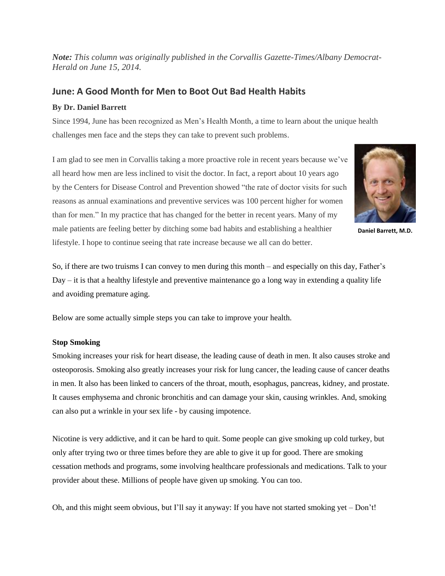*Note: This column was originally published in the Corvallis Gazette-Times/Albany Democrat-Herald on June 15, 2014.*

# **June: A Good Month for Men to Boot Out Bad Health Habits**

## **By Dr. Daniel Barrett**

Since 1994, June has been recognized as Men's Health Month, a time to learn about the unique health challenges men face and the steps they can take to prevent such problems.

I am glad to see men in Corvallis taking a more proactive role in recent years because we've all heard how men are less inclined to visit the doctor. In fact, a report about 10 years ago by the Centers for Disease Control and Prevention showed "the rate of doctor visits for such reasons as annual examinations and preventive services was 100 percent higher for women than for men." In my practice that has changed for the better in recent years. Many of my male patients are feeling better by ditching some bad habits and establishing a healthier lifestyle. I hope to continue seeing that rate increase because we all can do better.



**Daniel Barrett, M.D.**

So, if there are two truisms I can convey to men during this month – and especially on this day, Father's  $Day - it$  is that a healthy lifestyle and preventive maintenance go a long way in extending a quality life and avoiding premature aging.

Below are some actually simple steps you can take to improve your health.

## **Stop Smoking**

Smoking increases your risk for heart disease, the leading cause of death in men. It also causes stroke and osteoporosis. Smoking also greatly increases your risk for lung cancer, the leading cause of cancer deaths in men. It also has been linked to cancers of the throat, mouth, esophagus, pancreas, kidney, and prostate. It causes emphysema and chronic bronchitis and can damage your skin, causing wrinkles. And, smoking can also put a wrinkle in your sex life - by causing impotence.

Nicotine is very addictive, and it can be hard to quit. Some people can give smoking up cold turkey, but only after trying two or three times before they are able to give it up for good. There are smoking cessation methods and programs, some involving healthcare professionals and medications. Talk to your provider about these. Millions of people have given up smoking. You can too.

Oh, and this might seem obvious, but I'll say it anyway: If you have not started smoking yet – Don't!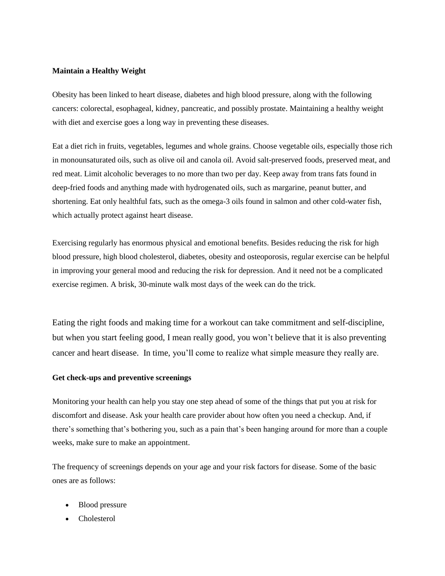#### **Maintain a Healthy Weight**

Obesity has been linked to heart disease, diabetes and high blood pressure, along with the following cancers: colorectal, esophageal, kidney, pancreatic, and possibly prostate. Maintaining a healthy weight with diet and exercise goes a long way in preventing these diseases.

Eat a diet rich in fruits, vegetables, legumes and whole grains. Choose vegetable oils, especially those rich in monounsaturated oils, such as olive oil and canola oil. Avoid salt-preserved foods, preserved meat, and red meat. Limit alcoholic beverages to no more than two per day. Keep away from trans fats found in deep-fried foods and anything made with hydrogenated oils, such as margarine, peanut butter, and shortening. Eat only healthful fats, such as the omega-3 oils found in salmon and other cold-water fish, which actually protect against heart disease.

Exercising regularly has enormous physical and emotional benefits. Besides reducing the risk for high blood pressure, high blood cholesterol, diabetes, obesity and osteoporosis, regular exercise can be helpful in improving your general mood and reducing the risk for depression. And it need not be a complicated exercise regimen. A brisk, 30-minute walk most days of the week can do the trick.

Eating the right foods and making time for a workout can take commitment and self-discipline, but when you start feeling good, I mean really good, you won't believe that it is also preventing cancer and heart disease. In time, you'll come to realize what simple measure they really are.

#### **Get check-ups and preventive screenings**

Monitoring your health can help you stay one step ahead of some of the things that put you at risk for discomfort and disease. Ask your health care provider about how often you need a checkup. And, if there's something that's bothering you, such as a pain that's been hanging around for more than a couple weeks, make sure to make an appointment.

The frequency of screenings depends on your age and your risk factors for disease. Some of the basic ones are as follows:

- Blood pressure
- Cholesterol